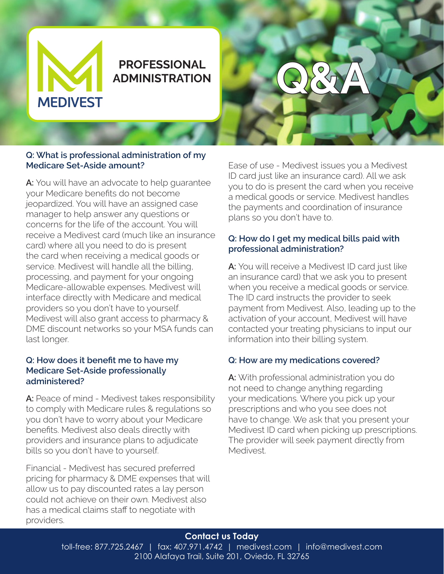

# **PROFESSIONAL ADMINISTRATION**

# **Q&A**

### **Q: What is professional administration of my Medicare Set-Aside amount?**

**A:** You will have an advocate to help guarantee your Medicare benefits do not become jeopardized. You will have an assigned case manager to help answer any questions or concerns for the life of the account. You will receive a Medivest card (much like an insurance card) where all you need to do is present the card when receiving a medical goods or service. Medivest will handle all the billing, processing, and payment for your ongoing Medicare-allowable expenses. Medivest will interface directly with Medicare and medical providers so you don't have to yourself. Medivest will also grant access to pharmacy & DME discount networks so your MSA funds can last longer.

# **Q: How does it benefit me to have my Medicare Set-Aside professionally administered?**

A: Peace of mind - Medivest takes responsibility to comply with Medicare rules & regulations so you don't have to worry about your Medicare benefits. Medivest also deals directly with providers and insurance plans to adjudicate bills so you don't have to yourself.

Financial - Medivest has secured preferred pricing for pharmacy & DME expenses that will allow us to pay discounted rates a lay person could not achieve on their own. Medivest also has a medical claims staff to negotiate with providers.

Ease of use - Medivest issues you a Medivest ID card just like an insurance card). All we ask you to do is present the card when you receive a medical goods or service. Medivest handles the payments and coordination of insurance plans so you don't have to.

# **Q: How do I get my medical bills paid with professional administration?**

**A:** You will receive a Medivest ID card just like an insurance card) that we ask you to present when you receive a medical goods or service. The ID card instructs the provider to seek payment from Medivest. Also, leading up to the activation of your account, Medivest will have contacted your treating physicians to input our information into their billing system.

# **Q: How are my medications covered?**

**A:** With professional administration you do not need to change anything regarding your medications. Where you pick up your prescriptions and who you see does not have to change. We ask that you present your Medivest ID card when picking up prescriptions. The provider will seek payment directly from Medivest.

# **Contact us Today**

toll-free: 877.725.2467 | fax: 407.971.4742 | medivest.com | info@medivest.com 2100 Alafaya Trail, Suite 201, Oviedo, FL 32765